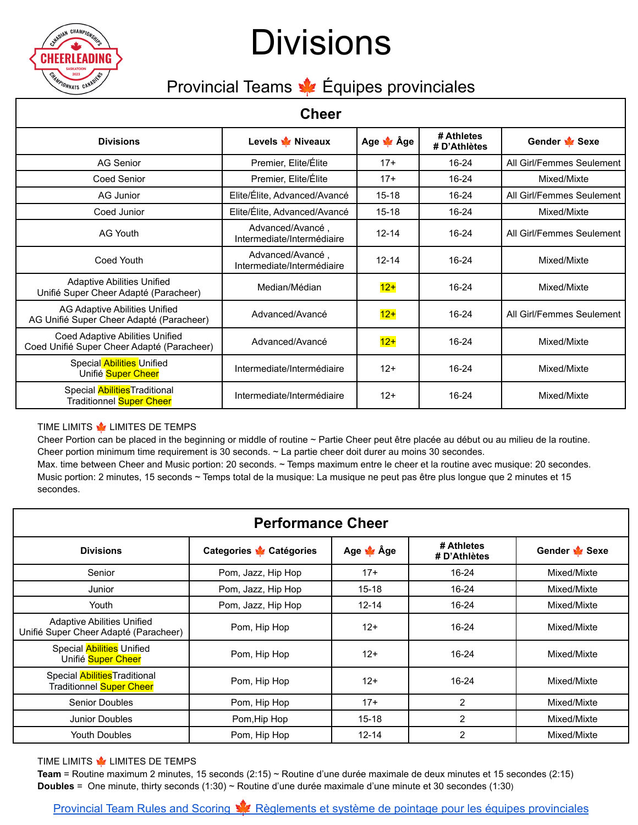

# **Divisions**

### Provincial Teams  $\frac{1}{2}$  Équipes provinciales

### **Cheer**

| ∪neer                                                                         |                                                |                   |                            |                           |  |  |
|-------------------------------------------------------------------------------|------------------------------------------------|-------------------|----------------------------|---------------------------|--|--|
| <b>Divisions</b>                                                              | Levels <b>V</b> Niveaux                        | Age <u>so</u> Âge | # Athletes<br># D'Athlètes | Gender Sexe               |  |  |
| AG Senior                                                                     | Premier, Elite/Élite<br>$17+$<br>$16 - 24$     |                   | All Girl/Femmes Seulement  |                           |  |  |
| <b>Coed Senior</b>                                                            | Premier, Elite/Élite                           | $17+$             | $16 - 24$                  | Mixed/Mixte               |  |  |
| AG Junior                                                                     | Elite/Élite, Advanced/Avancé                   | $15 - 18$         | $16 - 24$                  | All Girl/Femmes Seulement |  |  |
| Coed Junior                                                                   | Elite/Élite, Advanced/Avancé                   | $15 - 18$         | $16 - 24$                  | Mixed/Mixte               |  |  |
| <b>AG Youth</b>                                                               | Advanced/Avancé,<br>Intermediate/Intermédiaire | $12 - 14$         | $16 - 24$                  | All Girl/Femmes Seulement |  |  |
| Coed Youth                                                                    | Advanced/Avancé,<br>Intermediate/Intermédiaire | $12 - 14$         | $16 - 24$                  | Mixed/Mixte               |  |  |
| <b>Adaptive Abilities Unified</b><br>Unifié Super Cheer Adapté (Paracheer)    | Median/Médian                                  | $12+$             | $16 - 24$                  | Mixed/Mixte               |  |  |
| AG Adaptive Abilities Unified<br>AG Unifié Super Cheer Adapté (Paracheer)     | Advanced/Avancé                                | $12+$             | 16-24                      | All Girl/Femmes Seulement |  |  |
| Coed Adaptive Abilities Unified<br>Coed Unifié Super Cheer Adapté (Paracheer) | Advanced/Avancé                                | $12+$             | $16 - 24$                  | Mixed/Mixte               |  |  |
| Special Abilities Unified<br>Unifié Super Cheer                               | Intermediate/Intermédiaire                     | $12+$             | $16 - 24$                  | Mixed/Mixte               |  |  |
| Special Abilities Traditional<br><b>Traditionnel Super Cheer</b>              | Intermediate/Intermédiaire                     | $12+$             | $16 - 24$                  | Mixed/Mixte               |  |  |

#### TIME LIMITS **WE LIMITES DE TEMPS**

Cheer Portion can be placed in the beginning or middle of routine ~ Partie Cheer peut être placée au début ou au milieu de la routine. Cheer portion minimum time requirement is 30 seconds. ~ La partie cheer doit durer au moins 30 secondes.

Max. time between Cheer and Music portion: 20 seconds. ~ Temps maximum entre le cheer et la routine avec musique: 20 secondes. Music portion: 2 minutes, 15 seconds ~ Temps total de la musique: La musique ne peut pas être plus longue que 2 minutes et 15 secondes.

| <b>Performance Cheer</b>                                                   |                          |                  |                            |                      |  |  |  |
|----------------------------------------------------------------------------|--------------------------|------------------|----------------------------|----------------------|--|--|--|
| <b>Divisions</b>                                                           | Categories ve Catégories | Age <b>v</b> Âge | # Athletes<br># D'Athlètes | Gender <b>v</b> Sexe |  |  |  |
| Senior                                                                     | Pom, Jazz, Hip Hop       | $17+$            | $16 - 24$                  | Mixed/Mixte          |  |  |  |
| Junior                                                                     | Pom, Jazz, Hip Hop       | $15 - 18$        | $16 - 24$                  | Mixed/Mixte          |  |  |  |
| Youth                                                                      | Pom, Jazz, Hip Hop       | $12 - 14$        | $16 - 24$                  | Mixed/Mixte          |  |  |  |
| <b>Adaptive Abilities Unified</b><br>Unifié Super Cheer Adapté (Paracheer) | Pom, Hip Hop             | $12+$            | 16-24                      | Mixed/Mixte          |  |  |  |
| Special Abilities Unified<br>Unifié Super Cheer                            | Pom, Hip Hop             | $12+$            | 16-24                      | Mixed/Mixte          |  |  |  |
| Special Abilities Traditional<br>Traditionnel Super Cheer                  | Pom, Hip Hop             | $12+$            | $16 - 24$                  | Mixed/Mixte          |  |  |  |
| <b>Senior Doubles</b>                                                      | Pom, Hip Hop             | $17+$            | 2                          | Mixed/Mixte          |  |  |  |
| <b>Junior Doubles</b>                                                      | Pom, Hip Hop             | $15 - 18$        | $\overline{2}$             | Mixed/Mixte          |  |  |  |
| <b>Youth Doubles</b>                                                       | Pom, Hip Hop             | $12 - 14$        | 2                          | Mixed/Mixte          |  |  |  |

#### TIME LIMITS **WE LIMITES DE TEMPS**

**Team** = Routine maximum 2 minutes, 15 seconds (2:15) ~ Routine d'une durée maximale de deux minutes et 15 secondes (2:15) **Doubles** = One minute, thirty seconds (1:30) ~ Routine d'une durée maximale d'une minute et 30 secondes (1:30)